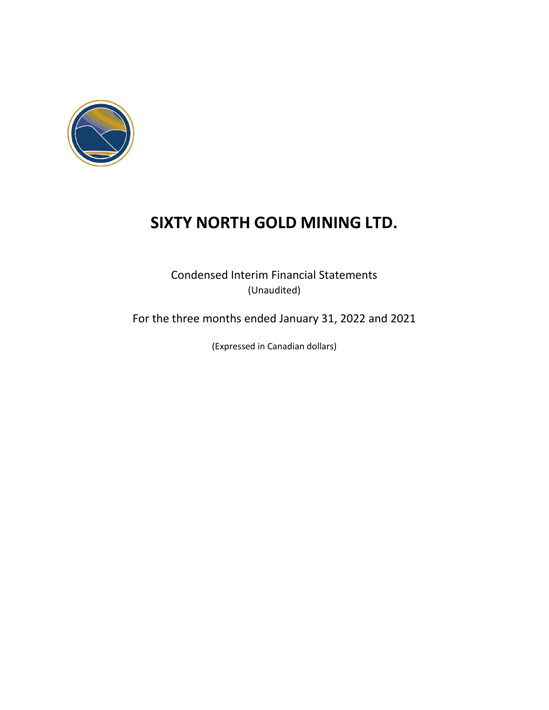

Condensed Interim Financial Statements (Unaudited)

For the three months ended January 31, 2022 and 2021

(Expressed in Canadian dollars)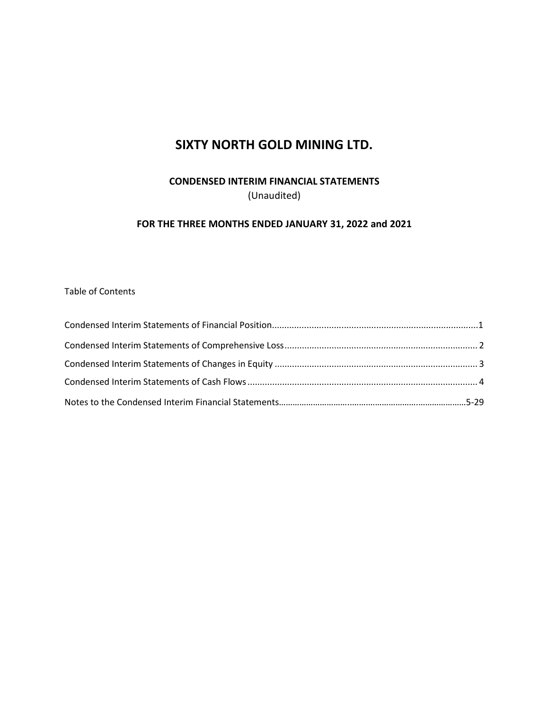### **CONDENSED INTERIM FINANCIAL STATEMENTS** (Unaudited)

### **FOR THE THREE MONTHS ENDED JANUARY 31, 2022 and 2021**

Table of Contents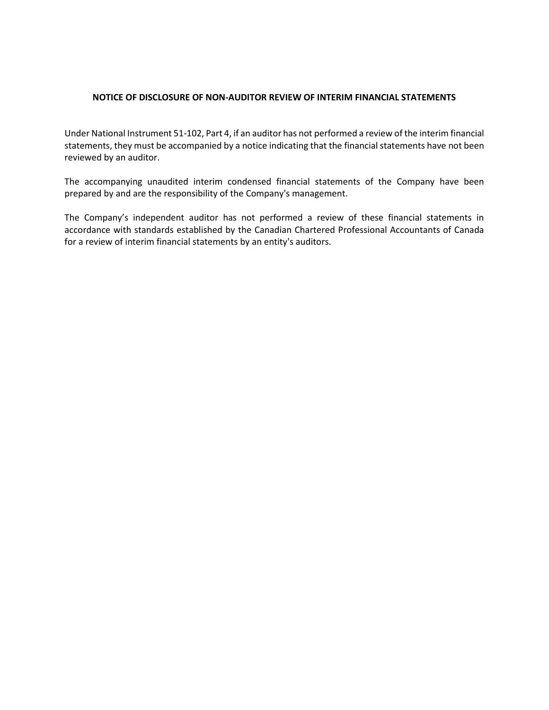#### **NOTICE OF DISCLOSURE OF NON-AUDITOR REVIEW OF INTERIM FINANCIAL STATEMENTS**

Under National Instrument 51-102, Part 4, if an auditor has not performed a review of the interim financial statements, they must be accompanied by a notice indicating that the financial statements have not been reviewed by an auditor.

The accompanying unaudited interim condensed financial statements of the Company have been prepared by and are the responsibility of the Company's management.

The Company's independent auditor has not performed a review of these financial statements in accordance with standards established by the Canadian Chartered Professional Accountants of Canada for a review of interim financial statements by an entity's auditors.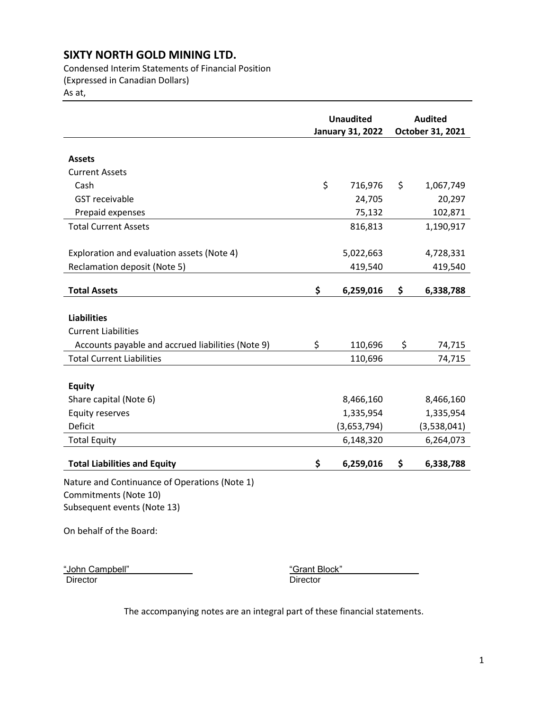Condensed Interim Statements of Financial Position (Expressed in Canadian Dollars)

As at,

|                                                   | <b>Unaudited</b><br><b>January 31, 2022</b> |             | <b>Audited</b><br>October 31, 2021 |             |
|---------------------------------------------------|---------------------------------------------|-------------|------------------------------------|-------------|
|                                                   |                                             |             |                                    |             |
| <b>Assets</b>                                     |                                             |             |                                    |             |
| <b>Current Assets</b>                             |                                             |             |                                    |             |
| Cash                                              | \$                                          | 716,976     | \$                                 | 1,067,749   |
| <b>GST</b> receivable                             |                                             | 24,705      |                                    | 20,297      |
| Prepaid expenses                                  |                                             | 75,132      |                                    | 102,871     |
| <b>Total Current Assets</b>                       |                                             | 816,813     |                                    | 1,190,917   |
| Exploration and evaluation assets (Note 4)        |                                             | 5,022,663   |                                    | 4,728,331   |
| <b>Reclamation deposit (Note 5)</b>               |                                             | 419,540     |                                    | 419,540     |
| <b>Total Assets</b>                               | \$                                          | 6,259,016   | \$                                 | 6,338,788   |
|                                                   |                                             |             |                                    |             |
| <b>Liabilities</b>                                |                                             |             |                                    |             |
| <b>Current Liabilities</b>                        |                                             |             |                                    |             |
| Accounts payable and accrued liabilities (Note 9) | \$                                          | 110,696     | \$                                 | 74,715      |
| <b>Total Current Liabilities</b>                  |                                             | 110,696     |                                    | 74,715      |
|                                                   |                                             |             |                                    |             |
| <b>Equity</b>                                     |                                             |             |                                    |             |
| Share capital (Note 6)                            |                                             | 8,466,160   |                                    | 8,466,160   |
| <b>Equity reserves</b>                            |                                             | 1,335,954   |                                    | 1,335,954   |
| Deficit                                           |                                             | (3,653,794) |                                    | (3,538,041) |
| <b>Total Equity</b>                               |                                             | 6,148,320   |                                    | 6,264,073   |
|                                                   |                                             |             |                                    |             |
| <b>Total Liabilities and Equity</b>               | \$                                          | 6,259,016   | \$                                 | 6,338,788   |
| Nature and Continuance of Operations (Note 1)     |                                             |             |                                    |             |
| Commitments (Note 10)                             |                                             |             |                                    |             |
| Subsequent events (Note 13)                       |                                             |             |                                    |             |
| On behalf of the Board:                           |                                             |             |                                    |             |

"John Campbell" **"Grant Block"**<br>"Director" **Director** "Director" Director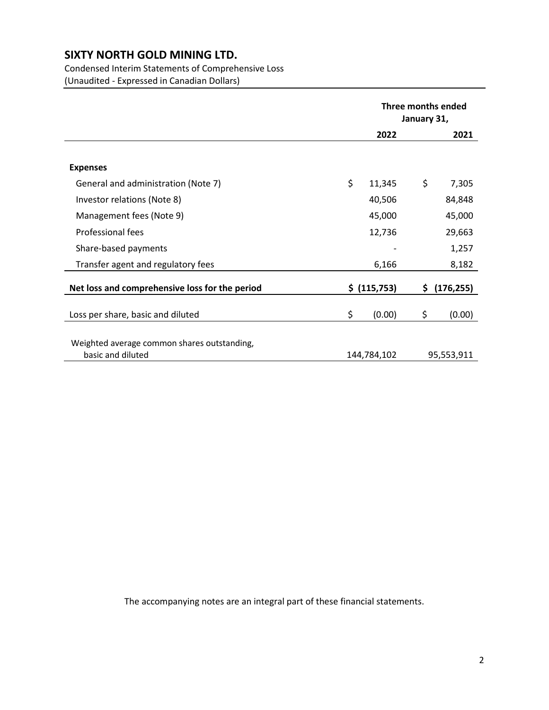### Condensed Interim Statements of Comprehensive Loss (Unaudited - Expressed in Canadian Dollars)

|                                                                  | Three months ended<br>January 31, |             |     |            |
|------------------------------------------------------------------|-----------------------------------|-------------|-----|------------|
|                                                                  |                                   | 2022        |     | 2021       |
|                                                                  |                                   |             |     |            |
| <b>Expenses</b>                                                  |                                   |             |     |            |
| General and administration (Note 7)                              | \$                                | 11,345      | \$  | 7,305      |
| Investor relations (Note 8)                                      |                                   | 40,506      |     | 84,848     |
| Management fees (Note 9)                                         |                                   | 45,000      |     | 45,000     |
| <b>Professional fees</b>                                         |                                   | 12,736      |     | 29,663     |
| Share-based payments                                             |                                   |             |     | 1,257      |
| Transfer agent and regulatory fees                               |                                   | 6,166       |     | 8,182      |
| Net loss and comprehensive loss for the period                   | \$ (115,753)                      |             | \$. | (176, 255) |
| Loss per share, basic and diluted                                | \$                                | (0.00)      | \$  | (0.00)     |
| Weighted average common shares outstanding,<br>basic and diluted |                                   | 144,784,102 |     | 95,553,911 |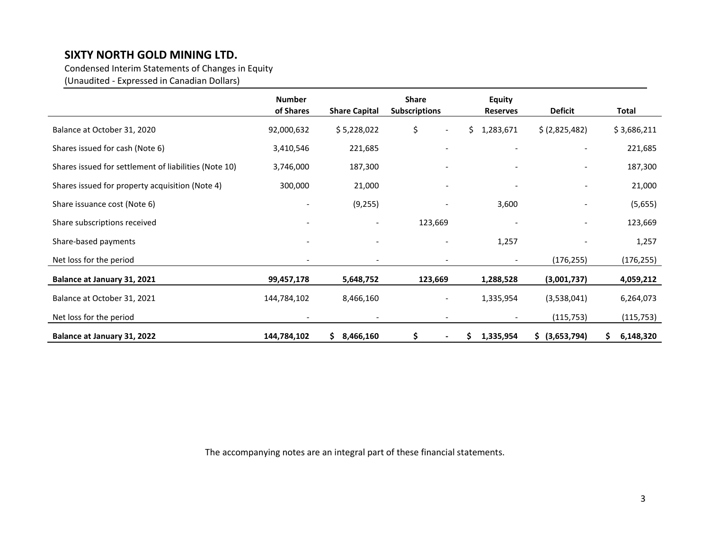Condensed Interim Statements of Changes in Equity

(Unaudited - Expressed in Canadian Dollars)

|                                                       | <b>Number</b><br>of Shares | <b>Share Capital</b>     | Share<br><b>Subscriptions</b>  | <b>Equity</b><br><b>Reserves</b> | <b>Deficit</b>           | Total            |
|-------------------------------------------------------|----------------------------|--------------------------|--------------------------------|----------------------------------|--------------------------|------------------|
| Balance at October 31, 2020                           | 92,000,632                 | \$5,228,022              | \$<br>$\overline{\phantom{a}}$ | \$.<br>1,283,671                 | \$ (2,825,482)           | \$3,686,211      |
| Shares issued for cash (Note 6)                       | 3,410,546                  | 221,685                  | $\overline{\phantom{a}}$       | $\overline{\phantom{a}}$         | $\overline{\phantom{a}}$ | 221,685          |
| Shares issued for settlement of liabilities (Note 10) | 3,746,000                  | 187,300                  |                                | $\qquad \qquad \blacksquare$     | $\overline{\phantom{a}}$ | 187,300          |
| Shares issued for property acquisition (Note 4)       | 300,000                    | 21,000                   |                                |                                  |                          | 21,000           |
| Share issuance cost (Note 6)                          |                            | (9,255)                  |                                | 3,600                            | $\overline{\phantom{a}}$ | (5,655)          |
| Share subscriptions received                          |                            | $\overline{\phantom{a}}$ | 123,669                        |                                  | $\overline{\phantom{a}}$ | 123,669          |
| Share-based payments                                  |                            | $\overline{\phantom{a}}$ | $\overline{\phantom{a}}$       | 1,257                            |                          | 1,257            |
| Net loss for the period                               | $\overline{\phantom{a}}$   | $\overline{\phantom{a}}$ | $\overline{\phantom{a}}$       | $\overline{\phantom{a}}$         | (176, 255)               | (176, 255)       |
| Balance at January 31, 2021                           | 99,457,178                 | 5,648,752                | 123,669                        | 1,288,528                        | (3,001,737)              | 4,059,212        |
| Balance at October 31, 2021                           | 144,784,102                | 8,466,160                | $\overline{\phantom{a}}$       | 1,335,954                        | (3,538,041)              | 6,264,073        |
| Net loss for the period                               | $\overline{\phantom{a}}$   | $\overline{\phantom{a}}$ | $\overline{\phantom{a}}$       | $\overline{\phantom{a}}$         | (115, 753)               | (115, 753)       |
| Balance at January 31, 2022                           | 144,784,102                | \$3,466,160              | \$<br>$\blacksquare$           | \$<br>1,335,954                  | \$ (3,653,794)           | 6,148,320<br>\$. |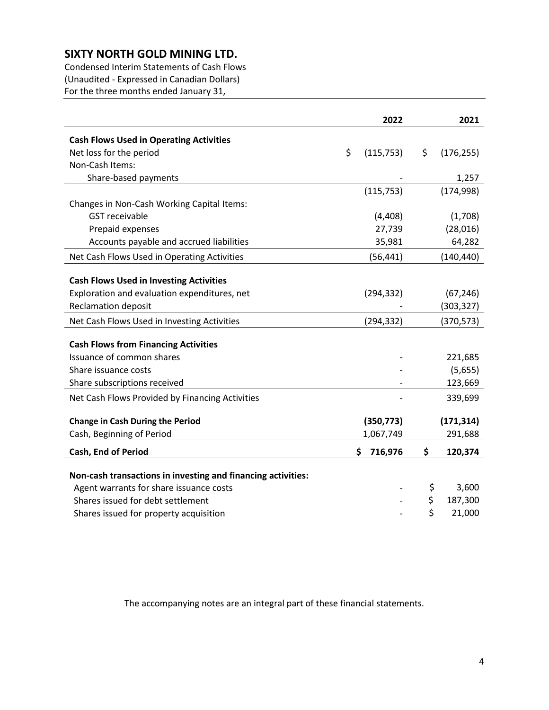Condensed Interim Statements of Cash Flows (Unaudited - Expressed in Canadian Dollars) For the three months ended January 31,

|                                                              | 2022             | 2021             |
|--------------------------------------------------------------|------------------|------------------|
| <b>Cash Flows Used in Operating Activities</b>               |                  |                  |
| Net loss for the period                                      | \$<br>(115, 753) | \$<br>(176, 255) |
| Non-Cash Items:                                              |                  |                  |
| Share-based payments                                         |                  | 1,257            |
|                                                              | (115, 753)       | (174, 998)       |
| Changes in Non-Cash Working Capital Items:                   |                  |                  |
| <b>GST</b> receivable                                        | (4, 408)         | (1,708)          |
| Prepaid expenses                                             | 27,739           | (28,016)         |
| Accounts payable and accrued liabilities                     | 35,981           | 64,282           |
| Net Cash Flows Used in Operating Activities                  | (56, 441)        | (140, 440)       |
|                                                              |                  |                  |
| <b>Cash Flows Used in Investing Activities</b>               |                  |                  |
| Exploration and evaluation expenditures, net                 | (294, 332)       | (67, 246)        |
| <b>Reclamation deposit</b>                                   |                  | (303, 327)       |
| Net Cash Flows Used in Investing Activities                  | (294, 332)       | (370, 573)       |
|                                                              |                  |                  |
| <b>Cash Flows from Financing Activities</b>                  |                  |                  |
| Issuance of common shares                                    |                  | 221,685          |
| Share issuance costs                                         |                  | (5,655)          |
| Share subscriptions received                                 |                  | 123,669          |
| Net Cash Flows Provided by Financing Activities              |                  | 339,699          |
|                                                              |                  |                  |
| <b>Change in Cash During the Period</b>                      | (350, 773)       | (171, 314)       |
| Cash, Beginning of Period                                    | 1,067,749        | 291,688          |
| Cash, End of Period                                          | \$<br>716,976    | \$<br>120,374    |
|                                                              |                  |                  |
| Non-cash transactions in investing and financing activities: |                  |                  |
| Agent warrants for share issuance costs                      |                  | \$<br>3,600      |
| Shares issued for debt settlement                            |                  | \$<br>187,300    |
| Shares issued for property acquisition                       |                  | \$<br>21,000     |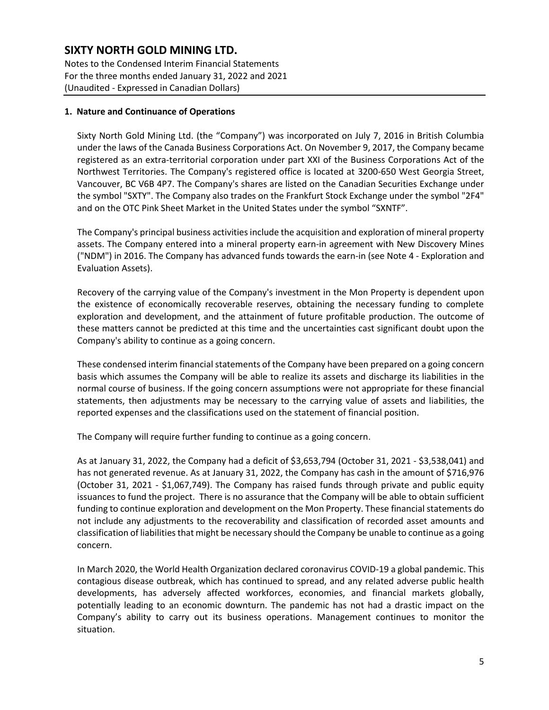Notes to the Condensed Interim Financial Statements For the three months ended January 31, 2022 and 2021 (Unaudited - Expressed in Canadian Dollars)

#### **1. Nature and Continuance of Operations**

Sixty North Gold Mining Ltd. (the "Company") was incorporated on July 7, 2016 in British Columbia under the laws of the Canada Business Corporations Act. On November 9, 2017, the Company became registered as an extra-territorial corporation under part XXI of the Business Corporations Act of the Northwest Territories. The Company's registered office is located at 3200-650 West Georgia Street, Vancouver, BC V6B 4P7. The Company's shares are listed on the Canadian Securities Exchange under the symbol "SXTY". The Company also trades on the Frankfurt Stock Exchange under the symbol "2F4" and on the OTC Pink Sheet Market in the United States under the symbol "SXNTF".

The Company's principal business activities include the acquisition and exploration of mineral property assets. The Company entered into a mineral property earn-in agreement with New Discovery Mines ("NDM") in 2016. The Company has advanced funds towards the earn-in (see Note 4 - Exploration and Evaluation Assets).

Recovery of the carrying value of the Company's investment in the Mon Property is dependent upon the existence of economically recoverable reserves, obtaining the necessary funding to complete exploration and development, and the attainment of future profitable production. The outcome of these matters cannot be predicted at this time and the uncertainties cast significant doubt upon the Company's ability to continue as a going concern.

These condensed interim financial statements of the Company have been prepared on a going concern basis which assumes the Company will be able to realize its assets and discharge its liabilities in the normal course of business. If the going concern assumptions were not appropriate for these financial statements, then adjustments may be necessary to the carrying value of assets and liabilities, the reported expenses and the classifications used on the statement of financial position.

The Company will require further funding to continue as a going concern.

As at January 31, 2022, the Company had a deficit of \$3,653,794 (October 31, 2021 - \$3,538,041) and has not generated revenue. As at January 31, 2022, the Company has cash in the amount of \$716,976 (October 31, 2021 - \$1,067,749). The Company has raised funds through private and public equity issuances to fund the project. There is no assurance that the Company will be able to obtain sufficient funding to continue exploration and development on the Mon Property. These financial statements do not include any adjustments to the recoverability and classification of recorded asset amounts and classification of liabilitiesthat might be necessary should the Company be unable to continue as a going concern.

In March 2020, the World Health Organization declared coronavirus COVID-19 a global pandemic. This contagious disease outbreak, which has continued to spread, and any related adverse public health developments, has adversely affected workforces, economies, and financial markets globally, potentially leading to an economic downturn. The pandemic has not had a drastic impact on the Company's ability to carry out its business operations. Management continues to monitor the situation.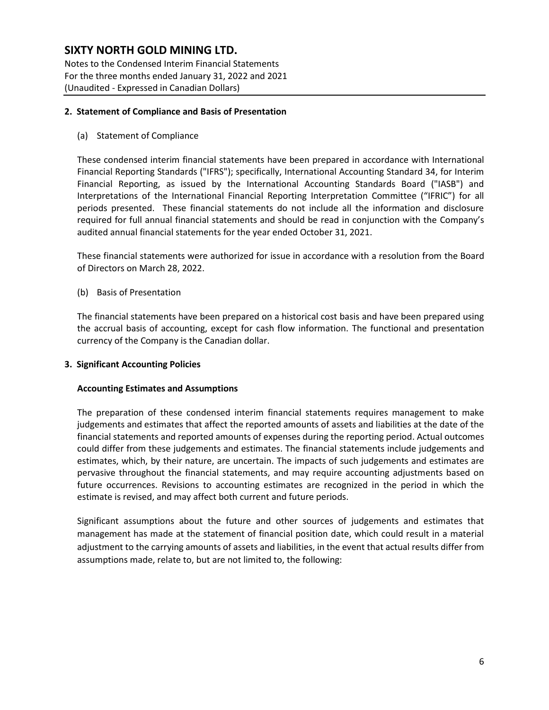Notes to the Condensed Interim Financial Statements For the three months ended January 31, 2022 and 2021 (Unaudited - Expressed in Canadian Dollars)

#### **2. Statement of Compliance and Basis of Presentation**

(a) Statement of Compliance

These condensed interim financial statements have been prepared in accordance with International Financial Reporting Standards ("IFRS"); specifically, International Accounting Standard 34, for Interim Financial Reporting, as issued by the International Accounting Standards Board ("IASB") and Interpretations of the International Financial Reporting Interpretation Committee ("IFRIC") for all periods presented. These financial statements do not include all the information and disclosure required for full annual financial statements and should be read in conjunction with the Company's audited annual financial statements for the year ended October 31, 2021.

These financial statements were authorized for issue in accordance with a resolution from the Board of Directors on March 28, 2022.

(b) Basis of Presentation

The financial statements have been prepared on a historical cost basis and have been prepared using the accrual basis of accounting, except for cash flow information. The functional and presentation currency of the Company is the Canadian dollar.

#### **3. Significant Accounting Policies**

#### **Accounting Estimates and Assumptions**

The preparation of these condensed interim financial statements requires management to make judgements and estimates that affect the reported amounts of assets and liabilities at the date of the financial statements and reported amounts of expenses during the reporting period. Actual outcomes could differ from these judgements and estimates. The financial statements include judgements and estimates, which, by their nature, are uncertain. The impacts of such judgements and estimates are pervasive throughout the financial statements, and may require accounting adjustments based on future occurrences. Revisions to accounting estimates are recognized in the period in which the estimate is revised, and may affect both current and future periods.

Significant assumptions about the future and other sources of judgements and estimates that management has made at the statement of financial position date, which could result in a material adjustment to the carrying amounts of assets and liabilities, in the event that actual results differ from assumptions made, relate to, but are not limited to, the following: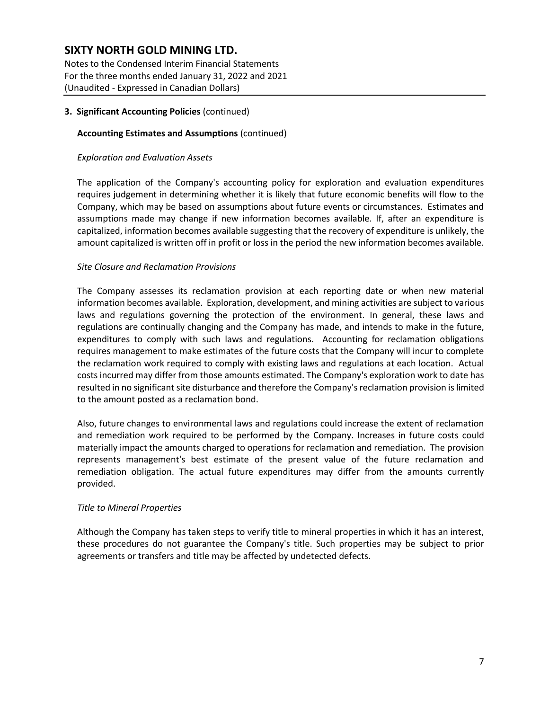Notes to the Condensed Interim Financial Statements For the three months ended January 31, 2022 and 2021 (Unaudited - Expressed in Canadian Dollars)

#### **3. Significant Accounting Policies** (continued)

#### **Accounting Estimates and Assumptions** (continued)

#### *Exploration and Evaluation Assets*

The application of the Company's accounting policy for exploration and evaluation expenditures requires judgement in determining whether it is likely that future economic benefits will flow to the Company, which may be based on assumptions about future events or circumstances. Estimates and assumptions made may change if new information becomes available. If, after an expenditure is capitalized, information becomes available suggesting that the recovery of expenditure is unlikely, the amount capitalized is written off in profit or loss in the period the new information becomes available.

#### *Site Closure and Reclamation Provisions*

The Company assesses its reclamation provision at each reporting date or when new material information becomes available. Exploration, development, and mining activities are subject to various laws and regulations governing the protection of the environment. In general, these laws and regulations are continually changing and the Company has made, and intends to make in the future, expenditures to comply with such laws and regulations. Accounting for reclamation obligations requires management to make estimates of the future costs that the Company will incur to complete the reclamation work required to comply with existing laws and regulations at each location. Actual costs incurred may differ from those amounts estimated. The Company's exploration work to date has resulted in no significant site disturbance and therefore the Company's reclamation provision is limited to the amount posted as a reclamation bond.

Also, future changes to environmental laws and regulations could increase the extent of reclamation and remediation work required to be performed by the Company. Increases in future costs could materially impact the amounts charged to operations for reclamation and remediation. The provision represents management's best estimate of the present value of the future reclamation and remediation obligation. The actual future expenditures may differ from the amounts currently provided.

#### *Title to Mineral Properties*

Although the Company has taken steps to verify title to mineral properties in which it has an interest, these procedures do not guarantee the Company's title. Such properties may be subject to prior agreements or transfers and title may be affected by undetected defects.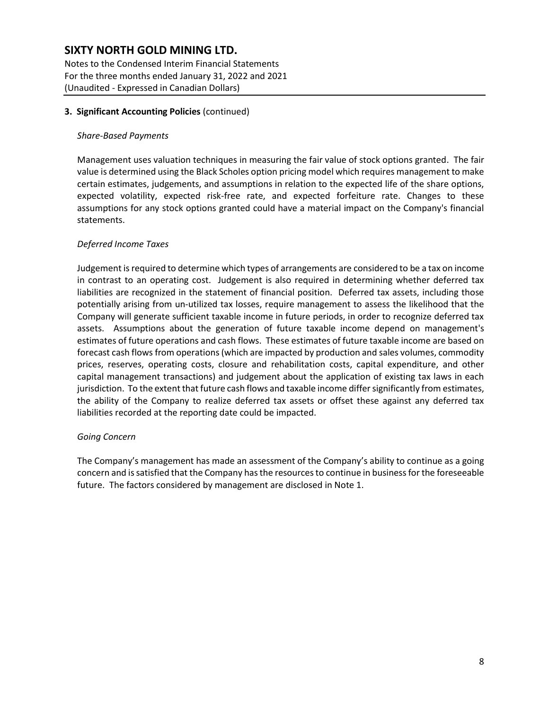Notes to the Condensed Interim Financial Statements For the three months ended January 31, 2022 and 2021 (Unaudited - Expressed in Canadian Dollars)

#### **3. Significant Accounting Policies** (continued)

#### *Share-Based Payments*

Management uses valuation techniques in measuring the fair value of stock options granted. The fair value is determined using the Black Scholes option pricing model which requires management to make certain estimates, judgements, and assumptions in relation to the expected life of the share options, expected volatility, expected risk-free rate, and expected forfeiture rate. Changes to these assumptions for any stock options granted could have a material impact on the Company's financial statements.

#### *Deferred Income Taxes*

Judgement is required to determine which types of arrangements are considered to be a tax on income in contrast to an operating cost. Judgement is also required in determining whether deferred tax liabilities are recognized in the statement of financial position. Deferred tax assets, including those potentially arising from un-utilized tax losses, require management to assess the likelihood that the Company will generate sufficient taxable income in future periods, in order to recognize deferred tax assets. Assumptions about the generation of future taxable income depend on management's estimates of future operations and cash flows. These estimates of future taxable income are based on forecast cash flows from operations (which are impacted by production and sales volumes, commodity prices, reserves, operating costs, closure and rehabilitation costs, capital expenditure, and other capital management transactions) and judgement about the application of existing tax laws in each jurisdiction. To the extent that future cash flows and taxable income differ significantly from estimates, the ability of the Company to realize deferred tax assets or offset these against any deferred tax liabilities recorded at the reporting date could be impacted.

#### *Going Concern*

The Company's management has made an assessment of the Company's ability to continue as a going concern and is satisfied that the Company has the resources to continue in business for the foreseeable future. The factors considered by management are disclosed in Note 1.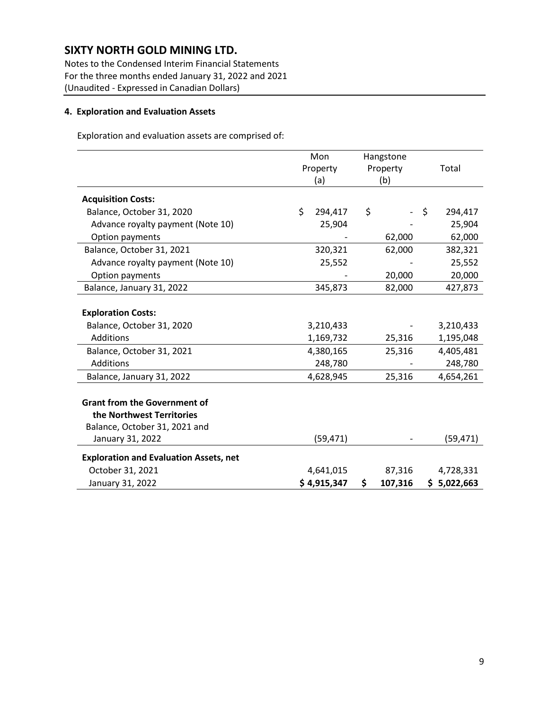Notes to the Condensed Interim Financial Statements For the three months ended January 31, 2022 and 2021 (Unaudited - Expressed in Canadian Dollars)

#### **4. Exploration and Evaluation Assets**

Exploration and evaluation assets are comprised of:

|                                               | Mon           | Hangstone     |               |
|-----------------------------------------------|---------------|---------------|---------------|
|                                               | Property      | Property      | Total         |
|                                               | (a)           | (b)           |               |
| <b>Acquisition Costs:</b>                     |               |               |               |
| Balance, October 31, 2020                     | \$<br>294,417 | \$            | \$<br>294,417 |
| Advance royalty payment (Note 10)             | 25,904        |               | 25,904        |
| Option payments                               |               | 62,000        | 62,000        |
| Balance, October 31, 2021                     | 320,321       | 62,000        | 382,321       |
| Advance royalty payment (Note 10)             | 25,552        |               | 25,552        |
| Option payments                               |               | 20,000        | 20,000        |
| Balance, January 31, 2022                     | 345,873       | 82,000        | 427,873       |
|                                               |               |               |               |
| <b>Exploration Costs:</b>                     |               |               |               |
| Balance, October 31, 2020                     | 3,210,433     |               | 3,210,433     |
| <b>Additions</b>                              | 1,169,732     | 25,316        | 1,195,048     |
| Balance, October 31, 2021                     | 4,380,165     | 25,316        | 4,405,481     |
| Additions                                     | 248,780       |               | 248,780       |
| Balance, January 31, 2022                     | 4,628,945     | 25,316        | 4,654,261     |
|                                               |               |               |               |
| <b>Grant from the Government of</b>           |               |               |               |
| the Northwest Territories                     |               |               |               |
| Balance, October 31, 2021 and                 |               |               |               |
| January 31, 2022                              | (59, 471)     |               | (59, 471)     |
| <b>Exploration and Evaluation Assets, net</b> |               |               |               |
| October 31, 2021                              | 4,641,015     | 87,316        | 4,728,331     |
| January 31, 2022                              | \$4,915,347   | \$<br>107,316 | \$5,022,663   |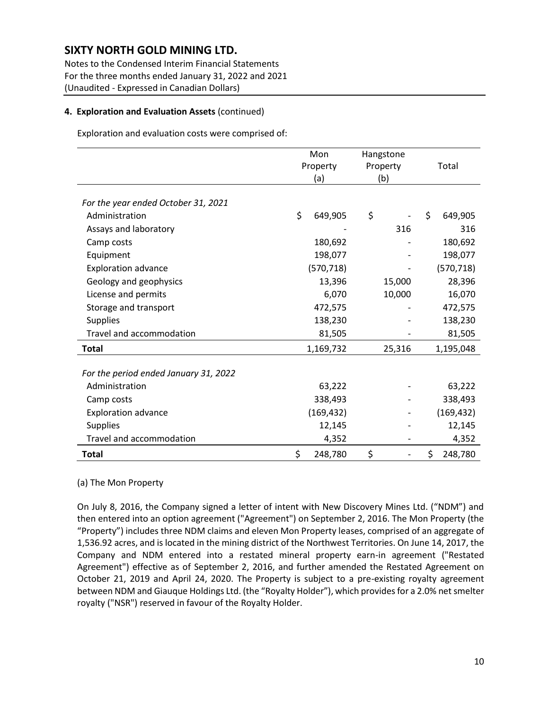Notes to the Condensed Interim Financial Statements For the three months ended January 31, 2022 and 2021 (Unaudited - Expressed in Canadian Dollars)

#### **4. Exploration and Evaluation Assets** (continued)

Exploration and evaluation costs were comprised of:

|                                       | Mon           | Hangstone |               |
|---------------------------------------|---------------|-----------|---------------|
|                                       | Property      | Property  | Total         |
|                                       | (a)           | (b)       |               |
|                                       |               |           |               |
| For the year ended October 31, 2021   |               |           |               |
| Administration                        | \$<br>649,905 | \$        | \$<br>649,905 |
| Assays and laboratory                 |               | 316       | 316           |
| Camp costs                            | 180,692       |           | 180,692       |
| Equipment                             | 198,077       |           | 198,077       |
| <b>Exploration advance</b>            | (570, 718)    |           | (570, 718)    |
| Geology and geophysics                | 13,396        | 15,000    | 28,396        |
| License and permits                   | 6,070         | 10,000    | 16,070        |
| Storage and transport                 | 472,575       |           | 472,575       |
| <b>Supplies</b>                       | 138,230       |           | 138,230       |
| Travel and accommodation              | 81,505        |           | 81,505        |
| <b>Total</b>                          | 1,169,732     | 25,316    | 1,195,048     |
|                                       |               |           |               |
| For the period ended January 31, 2022 |               |           |               |
| Administration                        | 63,222        |           | 63,222        |
| Camp costs                            | 338,493       |           | 338,493       |
| <b>Exploration advance</b>            | (169, 432)    |           | (169, 432)    |
| <b>Supplies</b>                       | 12,145        |           | 12,145        |
| Travel and accommodation              | 4,352         |           | 4,352         |
| <b>Total</b>                          | \$<br>248,780 | \$        | \$<br>248,780 |

#### (a) The Mon Property

On July 8, 2016, the Company signed a letter of intent with New Discovery Mines Ltd. ("NDM") and then entered into an option agreement ("Agreement") on September 2, 2016. The Mon Property (the "Property") includes three NDM claims and eleven Mon Property leases, comprised of an aggregate of 1,536.92 acres, and is located in the mining district of the Northwest Territories. On June 14, 2017, the Company and NDM entered into a restated mineral property earn-in agreement ("Restated Agreement") effective as of September 2, 2016, and further amended the Restated Agreement on October 21, 2019 and April 24, 2020. The Property is subject to a pre-existing royalty agreement between NDM and Giauque Holdings Ltd. (the "Royalty Holder"), which provides for a 2.0% net smelter royalty ("NSR") reserved in favour of the Royalty Holder.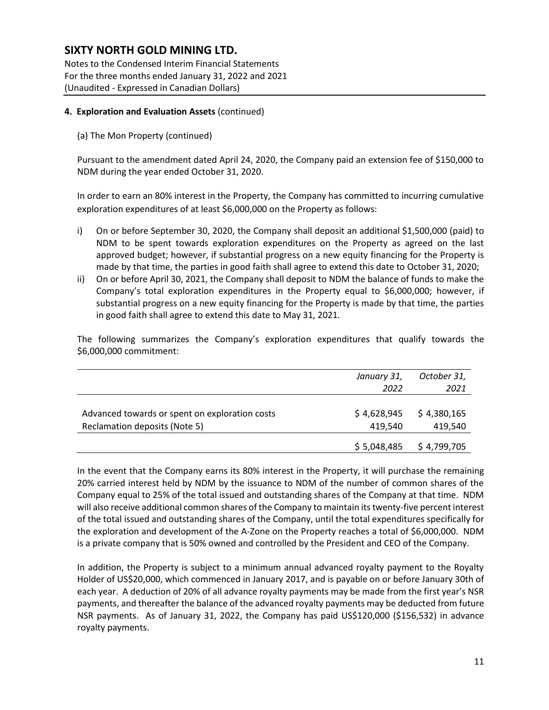Notes to the Condensed Interim Financial Statements For the three months ended January 31, 2022 and 2021 (Unaudited - Expressed in Canadian Dollars)

#### **4. Exploration and Evaluation Assets** (continued)

(a) The Mon Property (continued)

Pursuant to the amendment dated April 24, 2020, the Company paid an extension fee of \$150,000 to NDM during the year ended October 31, 2020.

In order to earn an 80% interest in the Property, the Company has committed to incurring cumulative exploration expenditures of at least \$6,000,000 on the Property as follows:

- i) On or before September 30, 2020, the Company shall deposit an additional \$1,500,000 (paid) to NDM to be spent towards exploration expenditures on the Property as agreed on the last approved budget; however, if substantial progress on a new equity financing for the Property is made by that time, the parties in good faith shall agree to extend this date to October 31, 2020;
- ii) On or before April 30, 2021, the Company shall deposit to NDM the balance of funds to make the Company's total exploration expenditures in the Property equal to \$6,000,000; however, if substantial progress on a new equity financing for the Property is made by that time, the parties in good faith shall agree to extend this date to May 31, 2021.

The following summarizes the Company's exploration expenditures that qualify towards the \$6,000,000 commitment:

|                                                                                 | January 31,<br>2022    | October 31,<br>2021    |
|---------------------------------------------------------------------------------|------------------------|------------------------|
| Advanced towards or spent on exploration costs<br>Reclamation deposits (Note 5) | \$4,628,945<br>419.540 | \$4,380,165<br>419,540 |
|                                                                                 | \$5,048,485            | \$4,799,705            |

In the event that the Company earns its 80% interest in the Property, it will purchase the remaining 20% carried interest held by NDM by the issuance to NDM of the number of common shares of the Company equal to 25% of the total issued and outstanding shares of the Company at that time. NDM will also receive additional common shares of the Company to maintain its twenty-five percent interest of the total issued and outstanding shares of the Company, until the total expenditures specifically for the exploration and development of the A-Zone on the Property reaches a total of \$6,000,000. NDM is a private company that is 50% owned and controlled by the President and CEO of the Company.

In addition, the Property is subject to a minimum annual advanced royalty payment to the Royalty Holder of US\$20,000, which commenced in January 2017, and is payable on or before January 30th of each year. A deduction of 20% of all advance royalty payments may be made from the first year's NSR payments, and thereafter the balance of the advanced royalty payments may be deducted from future NSR payments. As of January 31, 2022, the Company has paid US\$120,000 (\$156,532) in advance royalty payments.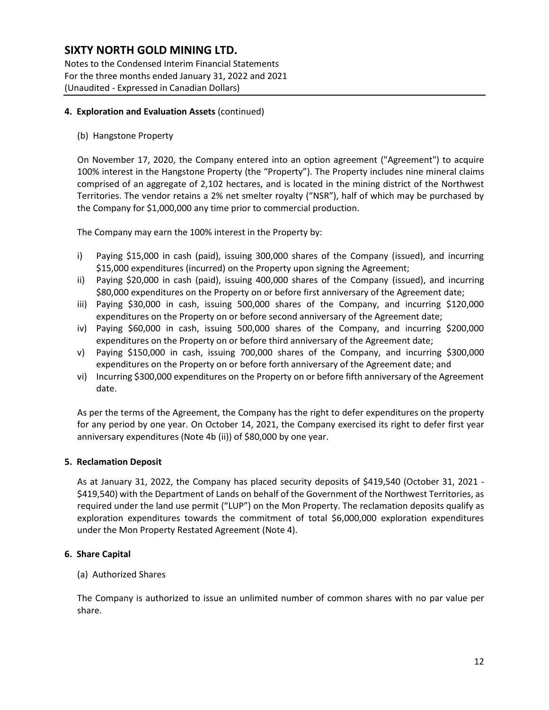Notes to the Condensed Interim Financial Statements For the three months ended January 31, 2022 and 2021 (Unaudited - Expressed in Canadian Dollars)

#### **4. Exploration and Evaluation Assets** (continued)

(b) Hangstone Property

On November 17, 2020, the Company entered into an option agreement ("Agreement") to acquire 100% interest in the Hangstone Property (the "Property"). The Property includes nine mineral claims comprised of an aggregate of 2,102 hectares, and is located in the mining district of the Northwest Territories. The vendor retains a 2% net smelter royalty ("NSR"), half of which may be purchased by the Company for \$1,000,000 any time prior to commercial production.

The Company may earn the 100% interest in the Property by:

- i) Paying \$15,000 in cash (paid), issuing 300,000 shares of the Company (issued), and incurring \$15,000 expenditures (incurred) on the Property upon signing the Agreement;
- ii) Paying \$20,000 in cash (paid), issuing 400,000 shares of the Company (issued), and incurring \$80,000 expenditures on the Property on or before first anniversary of the Agreement date;
- iii) Paying \$30,000 in cash, issuing 500,000 shares of the Company, and incurring \$120,000 expenditures on the Property on or before second anniversary of the Agreement date;
- iv) Paying \$60,000 in cash, issuing 500,000 shares of the Company, and incurring \$200,000 expenditures on the Property on or before third anniversary of the Agreement date;
- v) Paying \$150,000 in cash, issuing 700,000 shares of the Company, and incurring \$300,000 expenditures on the Property on or before forth anniversary of the Agreement date; and
- vi) Incurring \$300,000 expenditures on the Property on or before fifth anniversary of the Agreement date.

As per the terms of the Agreement, the Company has the right to defer expenditures on the property for any period by one year. On October 14, 2021, the Company exercised its right to defer first year anniversary expenditures (Note 4b (ii)) of \$80,000 by one year.

#### **5. Reclamation Deposit**

As at January 31, 2022, the Company has placed security deposits of \$419,540 (October 31, 2021 - \$419,540) with the Department of Lands on behalf of the Government of the Northwest Territories, as required under the land use permit ("LUP") on the Mon Property. The reclamation deposits qualify as exploration expenditures towards the commitment of total \$6,000,000 exploration expenditures under the Mon Property Restated Agreement (Note 4).

#### **6. Share Capital**

(a) Authorized Shares

The Company is authorized to issue an unlimited number of common shares with no par value per share.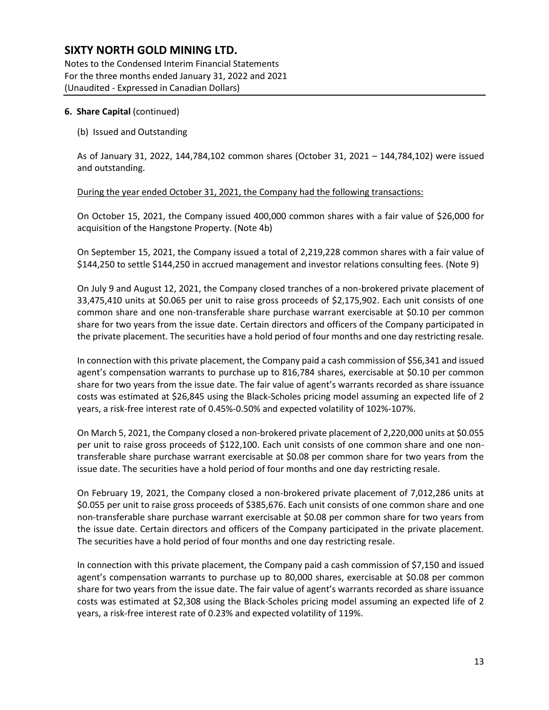Notes to the Condensed Interim Financial Statements For the three months ended January 31, 2022 and 2021 (Unaudited - Expressed in Canadian Dollars)

#### **6. Share Capital** (continued)

#### (b) Issued and Outstanding

As of January 31, 2022, 144,784,102 common shares (October 31, 2021 – 144,784,102) were issued and outstanding.

During the year ended October 31, 2021, the Company had the following transactions:

On October 15, 2021, the Company issued 400,000 common shares with a fair value of \$26,000 for acquisition of the Hangstone Property. (Note 4b)

On September 15, 2021, the Company issued a total of 2,219,228 common shares with a fair value of \$144,250 to settle \$144,250 in accrued management and investor relations consulting fees. (Note 9)

On July 9 and August 12, 2021, the Company closed tranches of a non-brokered private placement of 33,475,410 units at \$0.065 per unit to raise gross proceeds of \$2,175,902. Each unit consists of one common share and one non-transferable share purchase warrant exercisable at \$0.10 per common share for two years from the issue date. Certain directors and officers of the Company participated in the private placement. The securities have a hold period of four months and one day restricting resale.

In connection with this private placement, the Company paid a cash commission of \$56,341 and issued agent's compensation warrants to purchase up to 816,784 shares, exercisable at \$0.10 per common share for two years from the issue date. The fair value of agent's warrants recorded as share issuance costs was estimated at \$26,845 using the Black-Scholes pricing model assuming an expected life of 2 years, a risk-free interest rate of 0.45%-0.50% and expected volatility of 102%-107%.

On March 5, 2021, the Company closed a non-brokered private placement of 2,220,000 units at \$0.055 per unit to raise gross proceeds of \$122,100. Each unit consists of one common share and one nontransferable share purchase warrant exercisable at \$0.08 per common share for two years from the issue date. The securities have a hold period of four months and one day restricting resale.

On February 19, 2021, the Company closed a non-brokered private placement of 7,012,286 units at \$0.055 per unit to raise gross proceeds of \$385,676. Each unit consists of one common share and one non-transferable share purchase warrant exercisable at \$0.08 per common share for two years from the issue date. Certain directors and officers of the Company participated in the private placement. The securities have a hold period of four months and one day restricting resale.

In connection with this private placement, the Company paid a cash commission of \$7,150 and issued agent's compensation warrants to purchase up to 80,000 shares, exercisable at \$0.08 per common share for two years from the issue date. The fair value of agent's warrants recorded as share issuance costs was estimated at \$2,308 using the Black-Scholes pricing model assuming an expected life of 2 years, a risk-free interest rate of 0.23% and expected volatility of 119%.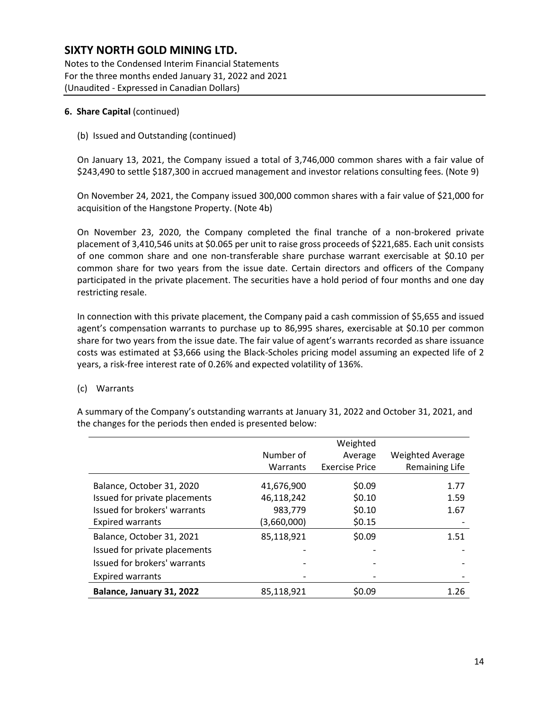Notes to the Condensed Interim Financial Statements For the three months ended January 31, 2022 and 2021 (Unaudited - Expressed in Canadian Dollars)

#### **6. Share Capital** (continued)

(b) Issued and Outstanding (continued)

On January 13, 2021, the Company issued a total of 3,746,000 common shares with a fair value of \$243,490 to settle \$187,300 in accrued management and investor relations consulting fees. (Note 9)

On November 24, 2021, the Company issued 300,000 common shares with a fair value of \$21,000 for acquisition of the Hangstone Property. (Note 4b)

On November 23, 2020, the Company completed the final tranche of a non-brokered private placement of 3,410,546 units at \$0.065 per unit to raise gross proceeds of \$221,685. Each unit consists of one common share and one non-transferable share purchase warrant exercisable at \$0.10 per common share for two years from the issue date. Certain directors and officers of the Company participated in the private placement. The securities have a hold period of four months and one day restricting resale.

In connection with this private placement, the Company paid a cash commission of \$5,655 and issued agent's compensation warrants to purchase up to 86,995 shares, exercisable at \$0.10 per common share for two years from the issue date. The fair value of agent's warrants recorded as share issuance costs was estimated at \$3,666 using the Black-Scholes pricing model assuming an expected life of 2 years, a risk-free interest rate of 0.26% and expected volatility of 136%.

#### (c) Warrants

A summary of the Company's outstanding warrants at January 31, 2022 and October 31, 2021, and the changes for the periods then ended is presented below:

|                               |                 | Weighted              |                         |
|-------------------------------|-----------------|-----------------------|-------------------------|
|                               | Number of       | Average               | <b>Weighted Average</b> |
|                               | <b>Warrants</b> | <b>Exercise Price</b> | <b>Remaining Life</b>   |
| Balance, October 31, 2020     | 41,676,900      | \$0.09                | 1.77                    |
| Issued for private placements | 46,118,242      | \$0.10                | 1.59                    |
| Issued for brokers' warrants  | 983,779         | \$0.10                | 1.67                    |
| <b>Expired warrants</b>       | (3,660,000)     | \$0.15                |                         |
| Balance, October 31, 2021     | 85,118,921      | \$0.09                | 1.51                    |
| Issued for private placements |                 |                       |                         |
| Issued for brokers' warrants  |                 |                       |                         |
| <b>Expired warrants</b>       |                 |                       |                         |
| Balance, January 31, 2022     | 85,118,921      | \$0.09                | 1.26                    |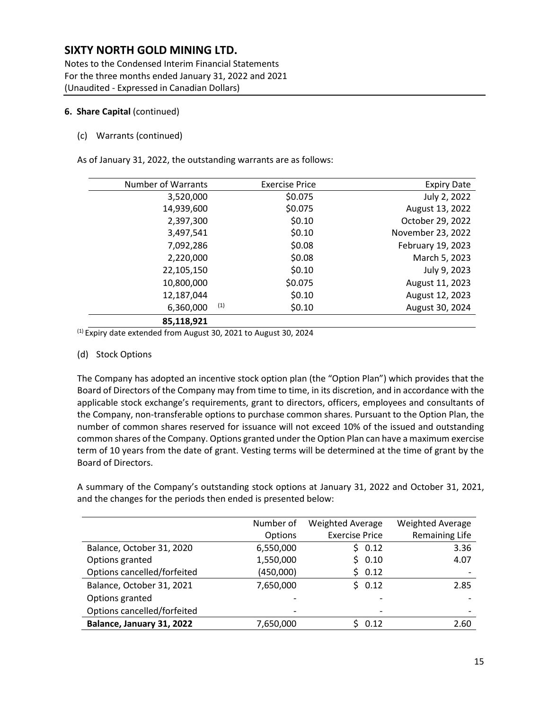Notes to the Condensed Interim Financial Statements For the three months ended January 31, 2022 and 2021 (Unaudited - Expressed in Canadian Dollars)

#### **6. Share Capital** (continued)

(c) Warrants (continued)

As of January 31, 2022, the outstanding warrants are as follows:

| <b>Number of Warrants</b> | <b>Exercise Price</b> | <b>Expiry Date</b> |
|---------------------------|-----------------------|--------------------|
| 3,520,000                 | \$0.075               | July 2, 2022       |
| 14,939,600                | \$0.075               | August 13, 2022    |
| 2,397,300                 | \$0.10                | October 29, 2022   |
| 3,497,541                 | \$0.10                | November 23, 2022  |
| 7,092,286                 | \$0.08                | February 19, 2023  |
| 2,220,000                 | \$0.08                | March 5, 2023      |
| 22,105,150                | \$0.10                | July 9, 2023       |
| 10,800,000                | \$0.075               | August 11, 2023    |
| 12,187,044                | \$0.10                | August 12, 2023    |
| 6,360,000                 | (1)<br>\$0.10         | August 30, 2024    |
| 85,118,921                |                       |                    |

(1) Expiry date extended from August 30, 2021 to August 30, 2024

#### (d) Stock Options

The Company has adopted an incentive stock option plan (the "Option Plan") which provides that the Board of Directors of the Company may from time to time, in its discretion, and in accordance with the applicable stock exchange's requirements, grant to directors, officers, employees and consultants of the Company, non-transferable options to purchase common shares. Pursuant to the Option Plan, the number of common shares reserved for issuance will not exceed 10% of the issued and outstanding common shares of the Company. Options granted under the Option Plan can have a maximum exercise term of 10 years from the date of grant. Vesting terms will be determined at the time of grant by the Board of Directors.

A summary of the Company's outstanding stock options at January 31, 2022 and October 31, 2021, and the changes for the periods then ended is presented below:

|                             | Number of | <b>Weighted Average</b> | <b>Weighted Average</b>  |
|-----------------------------|-----------|-------------------------|--------------------------|
|                             | Options   | <b>Exercise Price</b>   | <b>Remaining Life</b>    |
| Balance, October 31, 2020   | 6,550,000 | \$0.12                  | 3.36                     |
| Options granted             | 1,550,000 | \$0.10                  | 4.07                     |
| Options cancelled/forfeited | (450,000) | \$0.12                  | $\overline{\phantom{a}}$ |
| Balance, October 31, 2021   | 7,650,000 | \$0.12                  | 2.85                     |
| Options granted             |           |                         |                          |
| Options cancelled/forfeited |           | -                       |                          |
| Balance, January 31, 2022   | 7,650,000 | 0.12                    | 2.60                     |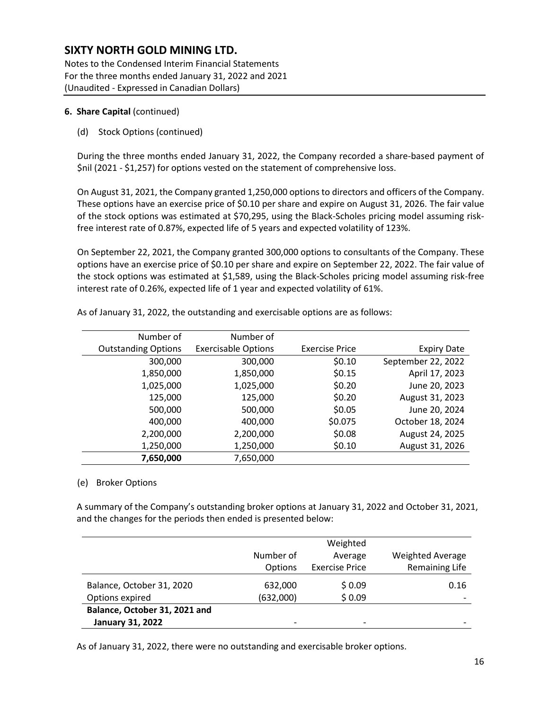Notes to the Condensed Interim Financial Statements For the three months ended January 31, 2022 and 2021 (Unaudited - Expressed in Canadian Dollars)

#### **6. Share Capital** (continued)

(d) Stock Options (continued)

During the three months ended January 31, 2022, the Company recorded a share-based payment of \$nil (2021 - \$1,257) for options vested on the statement of comprehensive loss.

On August 31, 2021, the Company granted 1,250,000 options to directors and officers of the Company. These options have an exercise price of \$0.10 per share and expire on August 31, 2026. The fair value of the stock options was estimated at \$70,295, using the Black-Scholes pricing model assuming riskfree interest rate of 0.87%, expected life of 5 years and expected volatility of 123%.

On September 22, 2021, the Company granted 300,000 options to consultants of the Company. These options have an exercise price of \$0.10 per share and expire on September 22, 2022. The fair value of the stock options was estimated at \$1,589, using the Black-Scholes pricing model assuming risk-free interest rate of 0.26%, expected life of 1 year and expected volatility of 61%.

|                    |                       | Number of                  | Number of                  |
|--------------------|-----------------------|----------------------------|----------------------------|
| <b>Expiry Date</b> | <b>Exercise Price</b> | <b>Exercisable Options</b> | <b>Outstanding Options</b> |
| September 22, 2022 | \$0.10                | 300,000                    | 300,000                    |
| April 17, 2023     | \$0.15                | 1,850,000                  | 1,850,000                  |
| June 20, 2023      | \$0.20                | 1,025,000                  | 1,025,000                  |
| August 31, 2023    | \$0.20                | 125,000                    | 125,000                    |
| June 20, 2024      | \$0.05                | 500,000                    | 500,000                    |
| October 18, 2024   | \$0.075               | 400,000                    | 400,000                    |
| August 24, 2025    | \$0.08                | 2,200,000                  | 2,200,000                  |
| August 31, 2026    | \$0.10                | 1,250,000                  | 1,250,000                  |
|                    |                       | 7,650,000                  | 7,650,000                  |

As of January 31, 2022, the outstanding and exercisable options are as follows:

#### (e) Broker Options

A summary of the Company's outstanding broker options at January 31, 2022 and October 31, 2021, and the changes for the periods then ended is presented below:

|                               |                | Weighted              |                          |
|-------------------------------|----------------|-----------------------|--------------------------|
|                               | Number of      | Average               | <b>Weighted Average</b>  |
|                               | <b>Options</b> | <b>Exercise Price</b> | <b>Remaining Life</b>    |
| Balance, October 31, 2020     | 632,000        | \$0.09                | 0.16                     |
| Options expired               | (632,000)      | \$0.09                |                          |
| Balance, October 31, 2021 and |                |                       |                          |
| <b>January 31, 2022</b>       |                |                       | $\overline{\phantom{0}}$ |

As of January 31, 2022, there were no outstanding and exercisable broker options.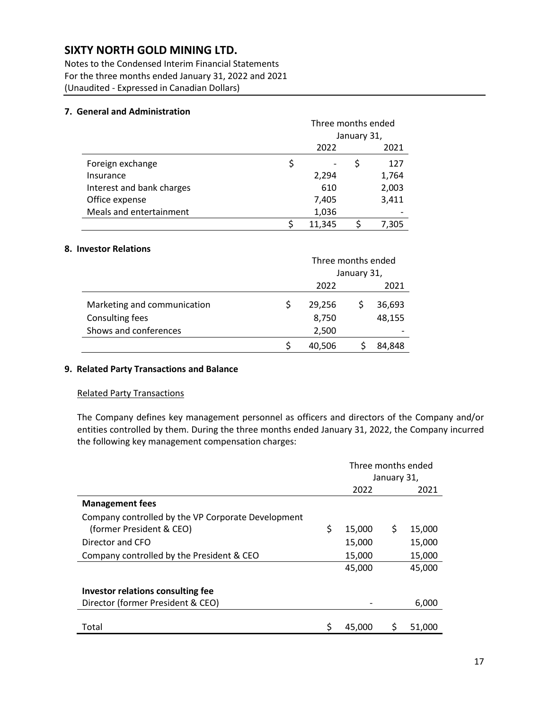Notes to the Condensed Interim Financial Statements For the three months ended January 31, 2022 and 2021 (Unaudited - Expressed in Canadian Dollars)

#### **7. General and Administration**

|                           | Three months ended |  |       |
|---------------------------|--------------------|--|-------|
|                           | January 31,        |  |       |
|                           | 2022               |  | 2021  |
| Foreign exchange          | \$                 |  | 127   |
| Insurance                 | 2,294              |  | 1,764 |
| Interest and bank charges | 610                |  | 2,003 |
| Office expense            | 7,405              |  | 3,411 |
| Meals and entertainment   | 1,036              |  |       |
|                           | 11,345             |  | 7,305 |

#### **8. Investor Relations**

|                             | Three months ended |  |        |
|-----------------------------|--------------------|--|--------|
|                             | January 31,        |  |        |
|                             | 2022               |  | 2021   |
| Marketing and communication | 29,256             |  | 36,693 |
| Consulting fees             | 8,750              |  | 48,155 |
| Shows and conferences       | 2,500              |  |        |
|                             | 40,506             |  | 84.848 |

#### **9. Related Party Transactions and Balance**

#### Related Party Transactions

The Company defines key management personnel as officers and directors of the Company and/or entities controlled by them. During the three months ended January 31, 2022, the Company incurred the following key management compensation charges:

|                                                    | Three months ended<br>January 31, |    |        |
|----------------------------------------------------|-----------------------------------|----|--------|
|                                                    | 2022                              |    | 2021   |
| <b>Management fees</b>                             |                                   |    |        |
| Company controlled by the VP Corporate Development |                                   |    |        |
| (former President & CEO)                           | \$<br>15,000                      | \$ | 15,000 |
| Director and CFO                                   | 15,000                            |    | 15,000 |
| Company controlled by the President & CEO          | 15,000                            |    | 15,000 |
|                                                    | 45,000                            |    | 45,000 |
| Investor relations consulting fee                  |                                   |    |        |
| Director (former President & CEO)                  |                                   |    | 6,000  |
| Total                                              | 45,000                            | \$ | 51,000 |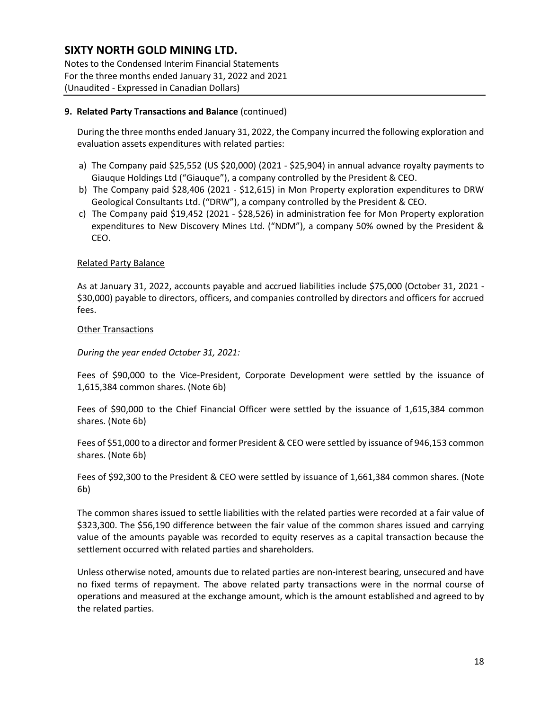Notes to the Condensed Interim Financial Statements For the three months ended January 31, 2022 and 2021 (Unaudited - Expressed in Canadian Dollars)

#### **9. Related Party Transactions and Balance** (continued)

During the three months ended January 31, 2022, the Company incurred the following exploration and evaluation assets expenditures with related parties:

- a) The Company paid \$25,552 (US \$20,000) (2021 \$25,904) in annual advance royalty payments to Giauque Holdings Ltd ("Giauque"), a company controlled by the President & CEO.
- b) The Company paid \$28,406 (2021 \$12,615) in Mon Property exploration expenditures to DRW Geological Consultants Ltd. ("DRW"), a company controlled by the President & CEO.
- c) The Company paid \$19,452 (2021 \$28,526) in administration fee for Mon Property exploration expenditures to New Discovery Mines Ltd. ("NDM"), a company 50% owned by the President & CEO.

#### Related Party Balance

As at January 31, 2022, accounts payable and accrued liabilities include \$75,000 (October 31, 2021 - \$30,000) payable to directors, officers, and companies controlled by directors and officers for accrued fees.

#### Other Transactions

#### *During the year ended October 31, 2021:*

Fees of \$90,000 to the Vice-President, Corporate Development were settled by the issuance of 1,615,384 common shares. (Note 6b)

Fees of \$90,000 to the Chief Financial Officer were settled by the issuance of 1,615,384 common shares. (Note 6b)

Fees of \$51,000 to a director and former President & CEO were settled by issuance of 946,153 common shares. (Note 6b)

Fees of \$92,300 to the President & CEO were settled by issuance of 1,661,384 common shares. (Note 6b)

The common shares issued to settle liabilities with the related parties were recorded at a fair value of \$323,300. The \$56,190 difference between the fair value of the common shares issued and carrying value of the amounts payable was recorded to equity reserves as a capital transaction because the settlement occurred with related parties and shareholders.

Unless otherwise noted, amounts due to related parties are non-interest bearing, unsecured and have no fixed terms of repayment. The above related party transactions were in the normal course of operations and measured at the exchange amount, which is the amount established and agreed to by the related parties.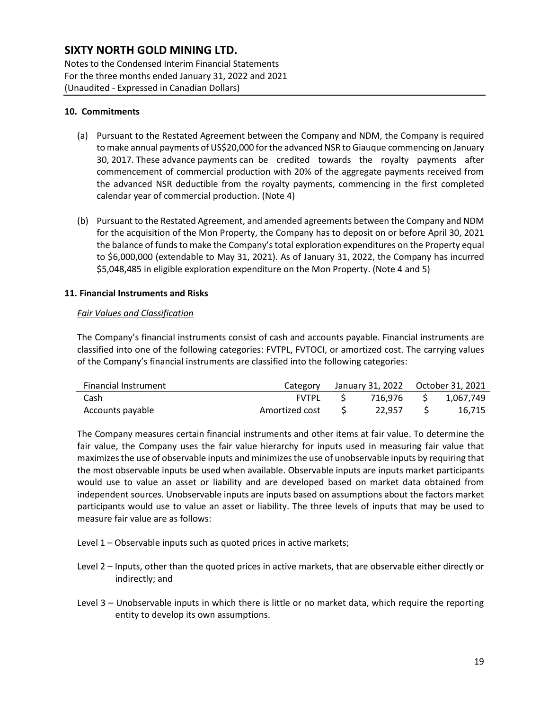Notes to the Condensed Interim Financial Statements For the three months ended January 31, 2022 and 2021 (Unaudited - Expressed in Canadian Dollars)

#### **10. Commitments**

- (a) Pursuant to the Restated Agreement between the Company and NDM, the Company is required to make annual payments of US\$20,000 for the advanced NSR to Giauque commencing on January 30, 2017. These advance payments can be credited towards the royalty payments after commencement of commercial production with 20% of the aggregate payments received from the advanced NSR deductible from the royalty payments, commencing in the first completed calendar year of commercial production. (Note 4)
- (b) Pursuant to the Restated Agreement, and amended agreements between the Company and NDM for the acquisition of the Mon Property, the Company has to deposit on or before April 30, 2021 the balance of funds to make the Company's total exploration expenditures on the Property equal to \$6,000,000 (extendable to May 31, 2021). As of January 31, 2022, the Company has incurred \$5,048,485 in eligible exploration expenditure on the Mon Property. (Note 4 and 5)

#### **11. Financial Instruments and Risks**

#### *Fair Values and Classification*

The Company's financial instruments consist of cash and accounts payable. Financial instruments are classified into one of the following categories: FVTPL, FVTOCI, or amortized cost. The carrying values of the Company's financial instruments are classified into the following categories:

| <b>Financial Instrument</b> | Category       | January 31, 2022    Qctober 31, 2021 |    |           |
|-----------------------------|----------------|--------------------------------------|----|-----------|
| Cash                        | FVTPL          | 716.976                              | S. | 1.067.749 |
| Accounts payable            | Amortized cost | 22.957                               |    | 16.715    |

The Company measures certain financial instruments and other items at fair value. To determine the fair value, the Company uses the fair value hierarchy for inputs used in measuring fair value that maximizes the use of observable inputs and minimizes the use of unobservable inputs by requiring that the most observable inputs be used when available. Observable inputs are inputs market participants would use to value an asset or liability and are developed based on market data obtained from independent sources. Unobservable inputs are inputs based on assumptions about the factors market participants would use to value an asset or liability. The three levels of inputs that may be used to measure fair value are as follows:

- Level 1 Observable inputs such as quoted prices in active markets;
- Level 2 Inputs, other than the quoted prices in active markets, that are observable either directly or indirectly; and
- Level 3 Unobservable inputs in which there is little or no market data, which require the reporting entity to develop its own assumptions.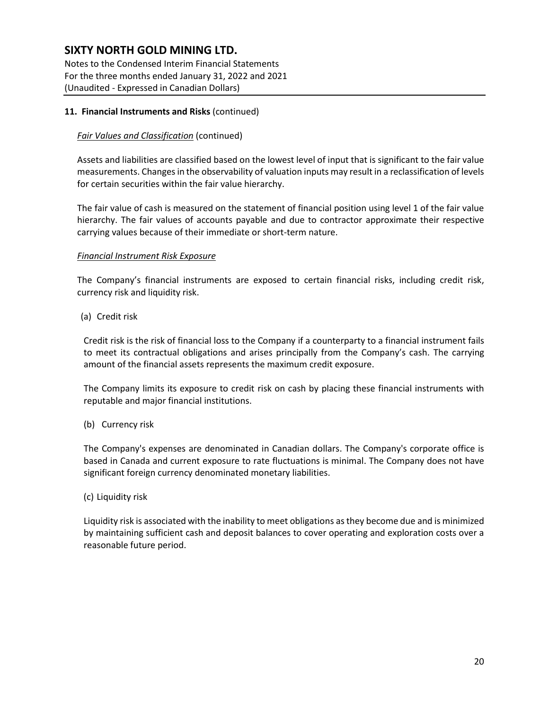Notes to the Condensed Interim Financial Statements For the three months ended January 31, 2022 and 2021 (Unaudited - Expressed in Canadian Dollars)

#### **11. Financial Instruments and Risks** (continued)

#### *Fair Values and Classification* (continued)

Assets and liabilities are classified based on the lowest level of input that is significant to the fair value measurements. Changes in the observability of valuation inputs may result in a reclassification of levels for certain securities within the fair value hierarchy.

The fair value of cash is measured on the statement of financial position using level 1 of the fair value hierarchy. The fair values of accounts payable and due to contractor approximate their respective carrying values because of their immediate or short-term nature.

#### *Financial Instrument Risk Exposure*

The Company's financial instruments are exposed to certain financial risks, including credit risk, currency risk and liquidity risk.

(a) Credit risk

Credit risk is the risk of financial loss to the Company if a counterparty to a financial instrument fails to meet its contractual obligations and arises principally from the Company's cash. The carrying amount of the financial assets represents the maximum credit exposure.

The Company limits its exposure to credit risk on cash by placing these financial instruments with reputable and major financial institutions.

#### (b) Currency risk

The Company's expenses are denominated in Canadian dollars. The Company's corporate office is based in Canada and current exposure to rate fluctuations is minimal. The Company does not have significant foreign currency denominated monetary liabilities.

#### (c) Liquidity risk

Liquidity risk is associated with the inability to meet obligations as they become due and is minimized by maintaining sufficient cash and deposit balances to cover operating and exploration costs over a reasonable future period.